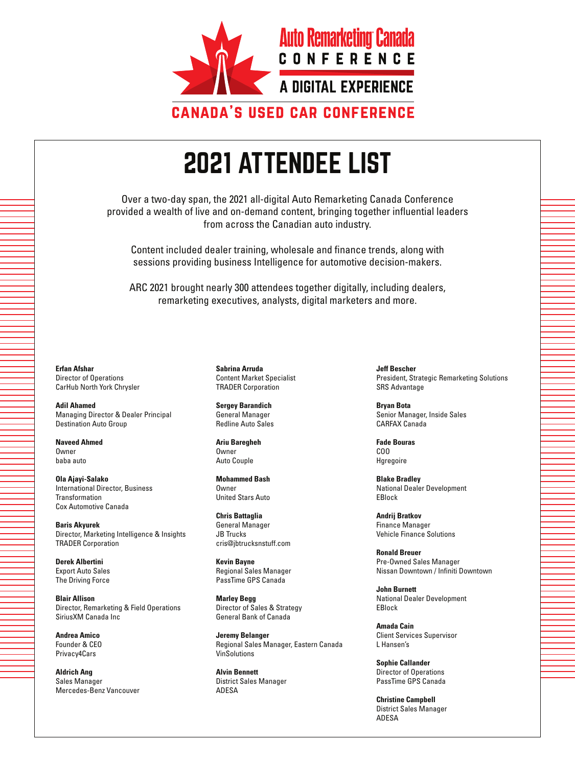

Over a two-day span, the 2021 all-digital Auto Remarketing Canada Conference provided a wealth of live and on-demand content, bringing together influential leaders from across the Canadian auto industry.

Content included dealer training, wholesale and finance trends, along with sessions providing business Intelligence for automotive decision-makers.

ARC 2021 brought nearly 300 attendees together digitally, including dealers, remarketing executives, analysts, digital marketers and more.

**Erfan Afshar** Director of Operations CarHub North York Chrysler

**Adil Ahamed** Managing Director & Dealer Principal Destination Auto Group

**Naveed Ahmed Owner** baba auto

**Ola Ajayi-Salako** International Director, Business Transformation Cox Automotive Canada

**Baris Akyurek** Director, Marketing Intelligence & Insights TRADER Corporation

**Derek Albertini** Export Auto Sales The Driving Force

**Blair Allison** Director, Remarketing & Field Operations SiriusXM Canada Inc

**Andrea Amico** Founder & CEO Privacy4Cars

**Aldrich Ang** Sales Manager Mercedes-Benz Vancouver

**Sabrina Arruda** Content Market Specialist TRADER Corporation

**Sergey Barandich** General Manager Redline Auto Sales

**Ariu Baregheh Owner** Auto Couple

**Mohammed Bash** Owner United Stars Auto

**Chris Battaglia** General Manager JB Trucks cris@jbtrucksnstuff.com

**Kevin Bayne** Regional Sales Manager PassTime GPS Canada

**Marley Begg** Director of Sales & Strategy General Bank of Canada

**Jeremy Belanger** Regional Sales Manager, Eastern Canada VinSolutions

**Alvin Bennett** District Sales Manager ADESA

**Jeff Bescher** President, Strategic Remarketing Solutions SRS Advantage

**Bryan Bota** Senior Manager, Inside Sales CARFAX Canada

**Fade Bouras** COO Hgregoire

**Blake Bradley** National Dealer Development EBlock

**Andrij Bratkov** Finance Manager Vehicle Finance Solutions

**Ronald Breuer** Pre-Owned Sales Manager Nissan Downtown / Infiniti Downtown

**John Burnett** National Dealer Development EBlock

**Amada Cain** Client Services Supervisor L Hansen's

**Sophie Callander** Director of Operations PassTime GPS Canada

**Christine Campbell** District Sales Manager ADESA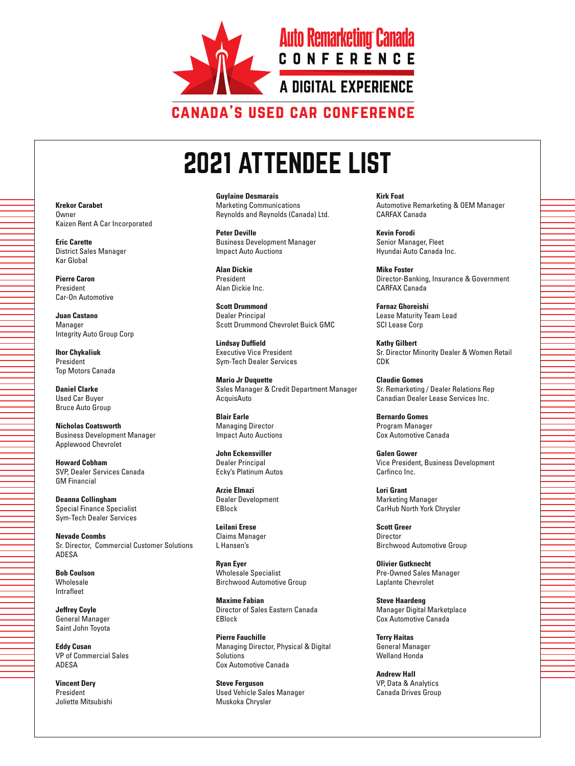

**Guylaine Desmarais** Marketing Communications Reynolds and Reynolds (Canada) Ltd.

**Peter Deville** Business Development Manager Impact Auto Auctions

**Alan Dickie** President Alan Dickie Inc.

**Scott Drummond** Dealer Principal Scott Drummond Chevrolet Buick GMC

**Lindsay Duffield** Executive Vice President Sym-Tech Dealer Services

**Mario Jr Duquette** Sales Manager & Credit Department Manager AcquisAuto

**Blair Earle** Managing Director Impact Auto Auctions

**John Eckensviller** Dealer Principal Ecky's Platinum Autos

**Arzie Elmazi** Dealer Development EBlock

**Leilani Erese** Claims Manager L Hansen's

**Ryan Eyer** Wholesale Specialist Birchwood Automotive Group

**Maxime Fabian** Director of Sales Eastern Canada EBlock

**Pierre Fauchille** Managing Director, Physical & Digital Solutions Cox Automotive Canada

**Steve Ferguson** Used Vehicle Sales Manager Muskoka Chrysler

**Kirk Foat** Automotive Remarketing & OEM Manager CARFAX Canada

**Kevin Forodi** Senior Manager, Fleet Hyundai Auto Canada Inc.

**Mike Foster** Director-Banking, Insurance & Government CARFAX Canada

**Farnaz Ghoreishi** Lease Maturity Team Lead SCI Lease Corp

**Kathy Gilbert** Sr. Director Minority Dealer & Women Retail CDK

**Claudie Gomes** Sr. Remarketing / Dealer Relations Rep Canadian Dealer Lease Services Inc.

**Bernardo Gomes** Program Manager Cox Automotive Canada

**Galen Gower** Vice President, Business Development Carfinco Inc.

**Lori Grant** Marketing Manager CarHub North York Chrysler

**Scott Greer** Director Birchwood Automotive Group

**Olivier Gutknecht** Pre-Owned Sales Manager Laplante Chevrolet

**Steve Haardeng** Manager Digital Marketplace Cox Automotive Canada

**Terry Haitas** General Manager Welland Honda

**Andrew Hall** VP, Data & Analytics Canada Drives Group

**Krekor Carabet Owner** Kaizen Rent A Car Incorporated

**Eric Carette** District Sales Manager Kar Global

**Pierre Caron** President Car-On Automotive

**Juan Castano** Manager Integrity Auto Group Corp

**Ihor Chykaliuk** President Top Motors Canada

**Daniel Clarke** Used Car Buyer Bruce Auto Group

**Nicholas Coatsworth** Business Development Manager Applewood Chevrolet

**Howard Cobham** SVP, Dealer Services Canada GM Financial

**Deanna Collingham** Special Finance Specialist Sym-Tech Dealer Services

**Nevade Coombs** Sr. Director, Commercial Customer Solutions ADESA

**Bob Coulson** Wholesale Intrafleet

**Jeffrey Coyle** General Manager Saint John Toyota

**Eddy Cusan** VP of Commercial Sales ADESA

**Vincent Dery** President Joliette Mitsubishi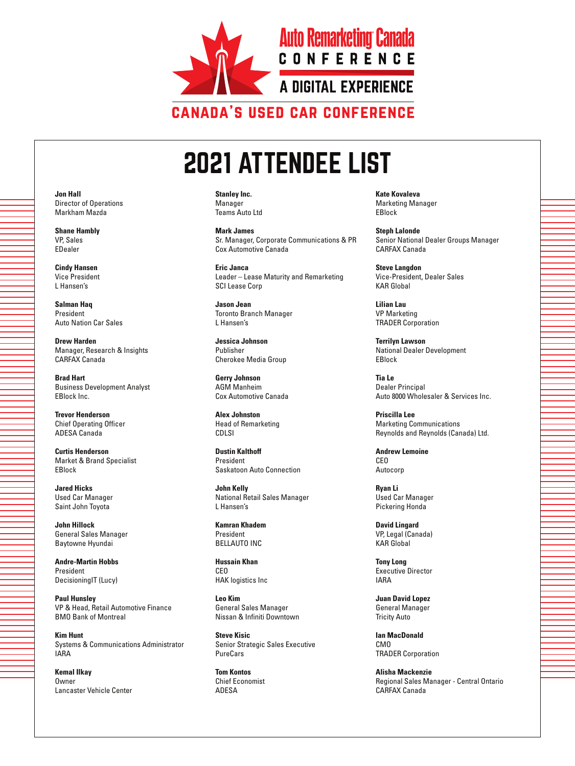

**Stanley Inc.** Manager Teams Auto Ltd

**Mark James** Sr. Manager, Corporate Communications & PR Cox Automotive Canada

**Eric Janca** Leader – Lease Maturity and Remarketing SCI Lease Corp

**Jason Jean** Toronto Branch Manager L Hansen's

**Jessica Johnson** Publisher Cherokee Media Group

**Gerry Johnson** AGM Manheim Cox Automotive Canada

**Alex Johnston** Head of Remarketing CDLSI

**Dustin Kalthoff** President Saskatoon Auto Connection

**John Kelly** National Retail Sales Manager L Hansen's

**Kamran Khadem** President BELLAUTO INC

**Hussain Khan** CEO HAK logistics Inc

**Leo Kim** General Sales Manager Nissan & Infiniti Downtown

**Steve Kisic** Senior Strategic Sales Executive PureCars

**Tom Kontos** Chief Economist ADESA

**Kate Kovaleva** Marketing Manager EBlock

**Steph Lalonde** Senior National Dealer Groups Manager CARFAX Canada

**Steve Langdon** Vice-President, Dealer Sales KAR Global

**Lilian Lau** VP Marketing TRADER Corporation

**Terrilyn Lawson** National Dealer Development EBlock

**Tia Le** Dealer Principal Auto 8000 Wholesaler & Services Inc.

**Priscilla Lee** Marketing Communications Reynolds and Reynolds (Canada) Ltd.

**Andrew Lemoine** CEO Autocorp

**Ryan Li** Used Car Manager Pickering Honda

**David Lingard** VP, Legal (Canada) KAR Global

**Tony Long** Executive Director IARA

**Juan David Lopez** General Manager Tricity Auto

**Ian MacDonald** CMO TRADER Corporation

**Alisha Mackenzie** Regional Sales Manager - Central Ontario CARFAX Canada

**Jon Hall** Director of Operations Markham Mazda

**Shane Hambly** VP, Sales EDealer

**Cindy Hansen** Vice President L Hansen's

**Salman Haq** President Auto Nation Car Sales

**Drew Harden** Manager, Research & Insights CARFAX Canada

**Brad Hart** Business Development Analyst EBlock Inc.

**Trevor Henderson** Chief Operating Officer ADESA Canada

**Curtis Henderson** Market & Brand Specialist EBlock

**Jared Hicks** Used Car Manager Saint John Toyota

**John Hillock** General Sales Manager Baytowne Hyundai

**Andre-Martin Hobbs** President DecisioningIT (Lucy)

**Paul Hunsley** VP & Head, Retail Automotive Finance BMO Bank of Montreal

**Kim Hunt** Systems & Communications Administrator IARA

**Kemal Ilkay** Owner Lancaster Vehicle Center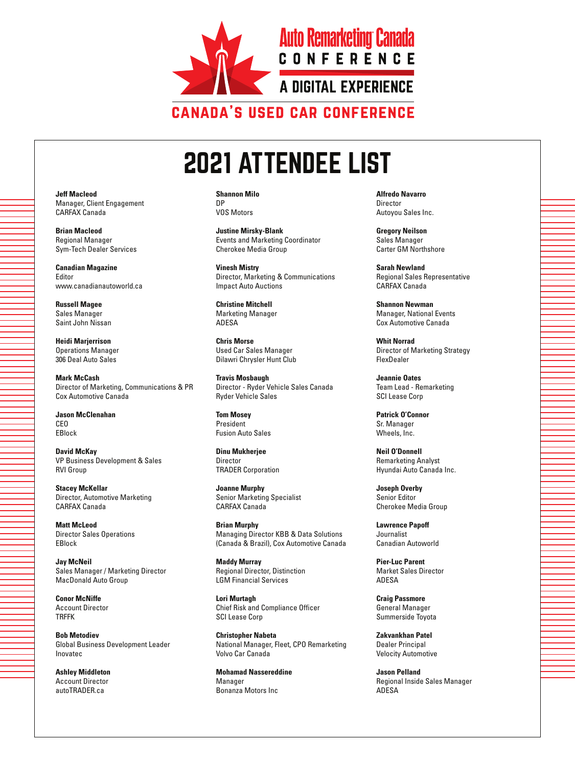

**Shannon Milo** DP VOS Motors

**Justine Mirsky-Blank** Events and Marketing Coordinator Cherokee Media Group

**Vinesh Mistry** Director, Marketing & Communications Impact Auto Auctions

**Christine Mitchell** Marketing Manager ADESA

**Chris Morse** Used Car Sales Manager Dilawri Chrysler Hunt Club

**Travis Mosbaugh** Director - Ryder Vehicle Sales Canada Ryder Vehicle Sales

**Tom Mosey** President Fusion Auto Sales

**Dinu Mukherjee** Director TRADER Corporation

**Joanne Murphy** Senior Marketing Specialist CARFAX Canada

**Brian Murphy** Managing Director KBB & Data Solutions (Canada & Brazil), Cox Automotive Canada

**Maddy Murray** Regional Director, Distinction LGM Financial Services

**Lori Murtagh** Chief Risk and Compliance Officer SCI Lease Corp

**Christopher Nabeta** National Manager, Fleet, CPO Remarketing Volvo Car Canada

**Mohamad Nassereddine** Manager Bonanza Motors Inc

**Alfredo Navarro Director** Autoyou Sales Inc.

**Gregory Neilson** Sales Manager Carter GM Northshore

**Sarah Newland** Regional Sales Representative CARFAX Canada

**Shannon Newman** Manager, National Events Cox Automotive Canada

**Whit Norrad** Director of Marketing Strategy FlexDealer

**Jeannie Oates** Team Lead - Remarketing SCI Lease Corp

**Patrick O'Connor** Sr. Manager Wheels, Inc.

**Neil O'Donnell** Remarketing Analyst Hyundai Auto Canada Inc.

**Joseph Overby** Senior Editor Cherokee Media Group

**Lawrence Papoff** Journalist Canadian Autoworld

**Pier-Luc Parent** Market Sales Director **ADESA** 

**Craig Passmore** General Manager Summerside Toyota

**Zakvankhan Patel** Dealer Principal Velocity Automotive

**Jason Pelland** Regional Inside Sales Manager ADESA

**Jeff Macleod** Manager, Client Engagement CARFAX Canada

**Brian Macleod** Regional Manager Sym-Tech Dealer Services

**Canadian Magazine** Editor www.canadianautoworld.ca

**Russell Magee** Sales Manager Saint John Nissan

**Heidi Marjerrison** Operations Manager 306 Deal Auto Sales

**Mark McCash** Director of Marketing, Communications & PR Cox Automotive Canada

**Jason McClenahan** CEO EBlock

**David McKay** VP Business Development & Sales RVI Group

**Stacey McKellar** Director, Automotive Marketing CARFAX Canada

**Matt McLeod** Director Sales Operations EBlock

**Jay McNeil** Sales Manager / Marketing Director MacDonald Auto Group

**Conor McNiffe** Account Director TRFFK

**Bob Metodiev** Global Business Development Leader Inovatec

**Ashley Middleton** Account Director autoTRADER.ca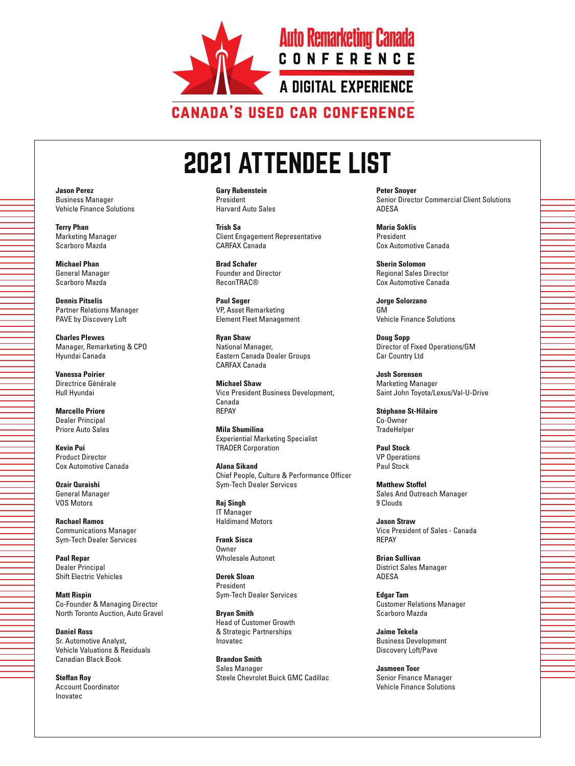

**Gary Rubenstein** President Harvard Auto Sales

**Trish Sa** Client Engagement Representative CARFAX Canada

**Brad Schafer** Founder and Director ReconTRAC®

**Paul Seger** VP, Asset Remarketing Element Fleet Management

**Ryan Shaw** National Manager, Eastern Canada Dealer Groups CARFAX Canada

**Michael Shaw** Vice President Business Development, Canada REPAY

**Mila Shumilina** Experiential Marketing Specialist TRADER Corporation

**Alana Sikand** Chief People, Culture & Performance Officer Sym-Tech Dealer Services

**Raj Singh** IT Manager Haldimand Motors

**Frank Sisca Owner** Wholesale Autonet

**Derek Sloan** President Sym-Tech Dealer Services

**Bryan Smith** Head of Customer Growth & Strategic Partnerships Inovatec

**Brandon Smith** Sales Manager Steele Chevrolet Buick GMC Cadillac **Peter Snoyer** Senior Director Commercial Client Solutions **ADESA** 

**Maria Soklis** President Cox Automotive Canada

**Sherin Solomon** Regional Sales Director Cox Automotive Canada

**Jorge Solorzano** GM Vehicle Finance Solutions

**Doug Sopp** Director of Fixed Operations/GM Car Country Ltd

**Josh Sorensen** Marketing Manager Saint John Toyota/Lexus/Val-U-Drive

**Stéphane St-Hilaire** Co-Owner **TradeHelper** 

**Paul Stock** VP Operations Paul Stock

**Matthew Stoffel** Sales And Outreach Manager 9 Clouds

**Jason Straw** Vice President of Sales - Canada REPAY

**Brian Sullivan** District Sales Manager ADESA

**Edgar Tam** Customer Relations Manager Scarboro Mazda

**Jaime Tekela** Business Development Discovery Loft/Pave

**Jasmeen Toor** Senior Finance Manager Vehicle Finance Solutions

**Jason Perez** Business Manager Vehicle Finance Solutions

**Terry Phan** Marketing Manager Scarboro Mazda

**Michael Phan** General Manager Scarboro Mazda

**Dennis Pitselis** Partner Relations Manager PAVE by Discovery Loft

**Charles Plewes** Manager, Remarketing & CPO Hyundai Canada

**Vanessa Poirier** Directrice Générale Hull Hyundai

**Marcello Priore** Dealer Principal Priore Auto Sales

**Kevin Pui** Product Director Cox Automotive Canada

**Ozair Quraishi** General Manager VOS Motors

**Rachael Ramos** Communications Manager Sym-Tech Dealer Services

**Paul Repar** Dealer Principal Shift Electric Vehicles

**Matt Rispin** Co-Founder & Managing Director North Toronto Auction, Auto Gravel

**Daniel Ross** Sr. Automotive Analyst, Vehicle Valuations & Residuals Canadian Black Book

**Steffan Roy** Account Coordinator Inovatec